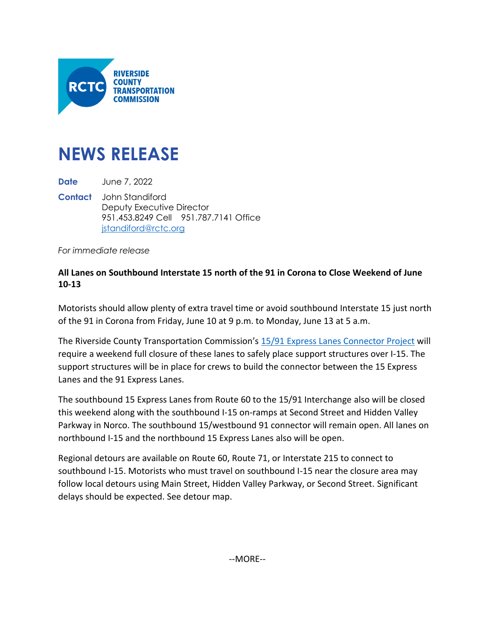

## **NEWS RELEASE**

**Date** June 7, 2022

**Contact** John Standiford Deputy Executive Director 951.453.8249 Cell 951.787.7141 Office [jstandiford@rctc.org](mailto:jstandiford@rctc.org)

*For immediate release*

## **All Lanes on Southbound Interstate 15 north of the 91 in Corona to Close Weekend of June 10-13**

Motorists should allow plenty of extra travel time or avoid southbound Interstate 15 just north of the 91 in Corona from Friday, June 10 at 9 p.m. to Monday, June 13 at 5 a.m.

The Riverside County Transportation Commission's [15/91 Express Lanes Connector Project](https://www.rctc.org/projects/i15-91-express-lanes-connector/) will require a weekend full closure of these lanes to safely place support structures over I-15. The support structures will be in place for crews to build the connector between the 15 Express Lanes and the 91 Express Lanes.

The southbound 15 Express Lanes from Route 60 to the 15/91 Interchange also will be closed this weekend along with the southbound I-15 on-ramps at Second Street and Hidden Valley Parkway in Norco. The southbound 15/westbound 91 connector will remain open. All lanes on northbound I-15 and the northbound 15 Express Lanes also will be open.

Regional detours are available on Route 60, Route 71, or Interstate 215 to connect to southbound I-15. Motorists who must travel on southbound I-15 near the closure area may follow local detours using Main Street, Hidden Valley Parkway, or Second Street. Significant delays should be expected. See detour map.